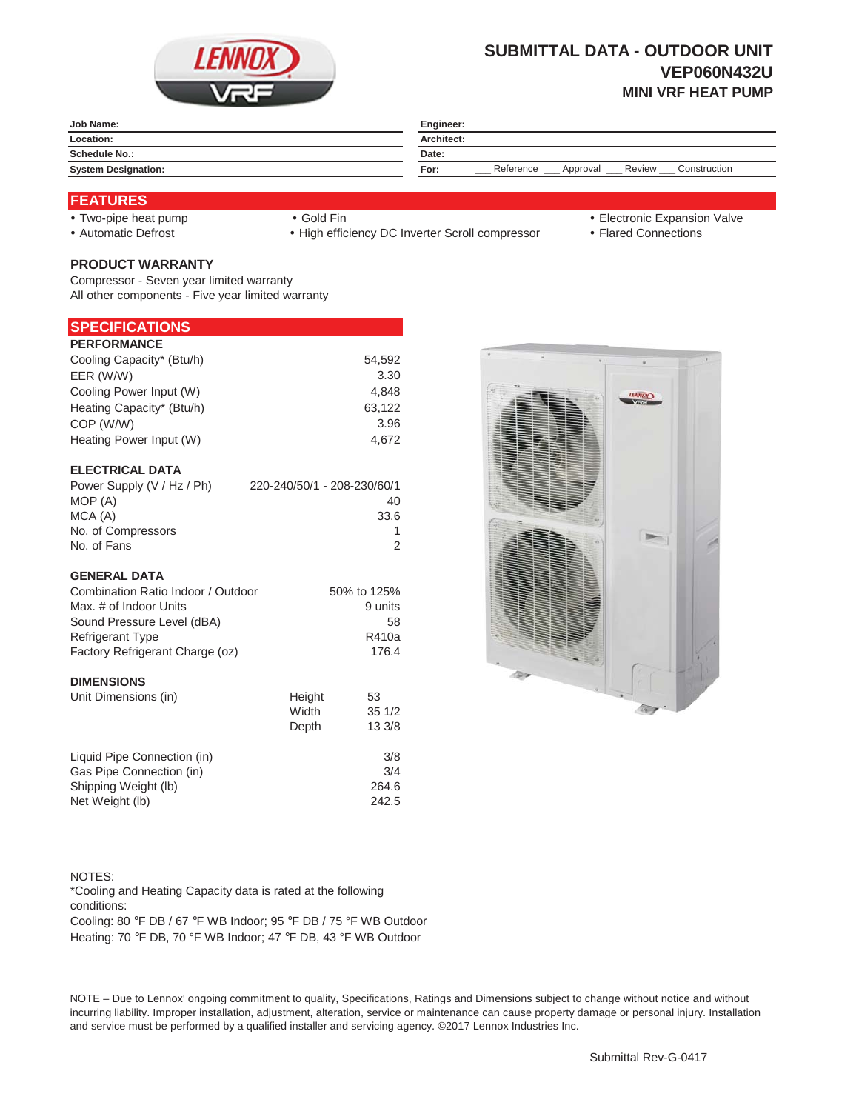

# **SUBMITTAL DATA - OUTDOOR UNIT VEP060N432U MINI VRF HEAT PUMP**

| Engineer:                                                      |  |  |
|----------------------------------------------------------------|--|--|
| Architect:                                                     |  |  |
| Date:                                                          |  |  |
| Reference<br>Construction<br><b>Review</b><br>For:<br>Approval |  |  |
|                                                                |  |  |

#### **FEATURES**

• Automatic Defrost **Yautomatic Defrost** + High efficiency DC Inverter Scroll compressor • Flared Connections

- Two-pipe heat pump y and the Gold Fin y Gold Fin y Two-pipe heat pump y and the Gold Fin y Two-pipe heat pump y Gold Fin y Two-pipe heat pump y Gold Fin y Two-pipe heat pump y Gold Fin y Two-pipe heat pump y Two-pipe hea
	-

## **PRODUCT WARRANTY**

Compressor - Seven year limited warranty All other components - Five year limited warranty

### **SPECIFICATIONS**

| <b>PERFORMANCE</b>         |                             |
|----------------------------|-----------------------------|
| Cooling Capacity* (Btu/h)  | 54,592                      |
| EER (W/W)                  | 3.30                        |
| Cooling Power Input (W)    | 4,848                       |
| Heating Capacity* (Btu/h)  | 63,122                      |
| COP (W/W)                  | 3.96                        |
| Heating Power Input (W)    | 4.672                       |
|                            |                             |
| <b>ELECTRICAL DATA</b>     |                             |
| Power Supply (V / Hz / Ph) | 220-240/50/1 - 208-230/60/1 |
| MOP (A)                    | 40                          |

| MOP (A)            | 40   |
|--------------------|------|
| MCA (A)            | 33.6 |
| No. of Compressors |      |
| No. of Fans        |      |

#### **GENERAL DATA**

| Combination Ratio Indoor / Outdoor                                                                                                                                                                                                                                                                                                 | 50% to 125% |
|------------------------------------------------------------------------------------------------------------------------------------------------------------------------------------------------------------------------------------------------------------------------------------------------------------------------------------|-------------|
| Max. # of Indoor Units                                                                                                                                                                                                                                                                                                             | 9 units     |
| Sound Pressure Level (dBA)                                                                                                                                                                                                                                                                                                         | 58          |
| <b>Refrigerant Type</b>                                                                                                                                                                                                                                                                                                            | R410a       |
| Factory Refrigerant Charge (oz)                                                                                                                                                                                                                                                                                                    | 176.4       |
| <b>DIMENSIONS</b>                                                                                                                                                                                                                                                                                                                  |             |
| $\mathbf{1}$ $\mathbf{1}$ $\mathbf{1}$ $\mathbf{1}$ $\mathbf{1}$ $\mathbf{1}$ $\mathbf{1}$ $\mathbf{1}$ $\mathbf{1}$ $\mathbf{1}$ $\mathbf{1}$ $\mathbf{1}$ $\mathbf{1}$ $\mathbf{1}$ $\mathbf{1}$ $\mathbf{1}$ $\mathbf{1}$ $\mathbf{1}$ $\mathbf{1}$ $\mathbf{1}$ $\mathbf{1}$ $\mathbf{1}$ $\mathbf{1}$ $\mathbf{1}$ $\mathbf{$ |             |

| Unit Dimensions (in)        | Height | 53     |
|-----------------------------|--------|--------|
|                             | Width  | 351/2  |
|                             | Depth  | 13 3/8 |
| Liquid Pipe Connection (in) |        | 3/8    |
| Gas Pipe Connection (in)    |        | 3/4    |
| Shipping Weight (lb)        |        | 264.6  |
| Net Weight (lb)             |        | 242.5  |



NOTES: Cooling: 80 °F DB / 67 °F WB Indoor; 95 °F DB / 75 °F WB Outdoor \*Cooling and Heating Capacity data is rated at the following conditions:

Heating: 70 °F DB, 70 °F WB Indoor; 47 °F DB, 43 °F WB Outdoor

NOTE – Due to Lennox' ongoing commitment to quality, Specifications, Ratings and Dimensions subject to change without notice and without incurring liability. Improper installation, adjustment, alteration, service or maintenance can cause property damage or personal injury. Installation and service must be performed by a qualified installer and servicing agency. ©2017 Lennox Industries Inc.